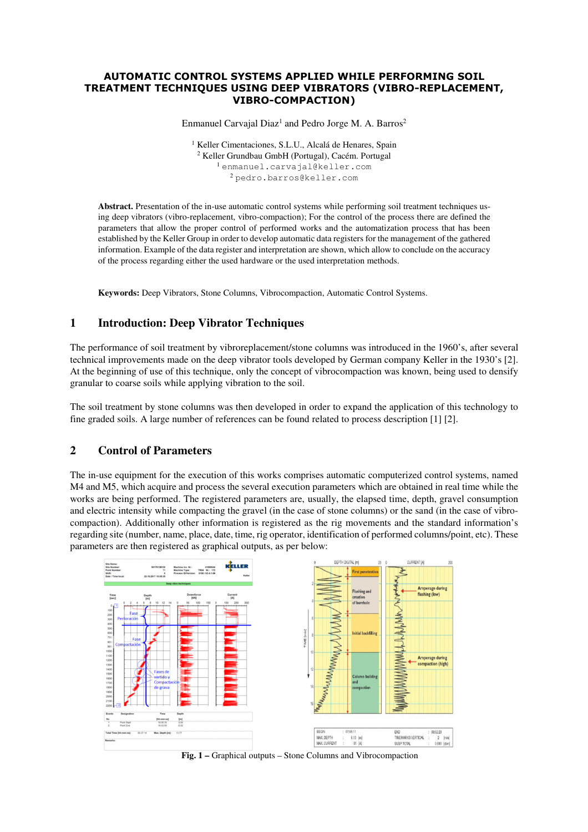#### AUTOMATIC CONTROL SYSTEMS APPLIED WHILE PERFORMING SOIL TREATMENT TECHNIQUES USING DEEP VIBRATORS (VIBRO-REPLACEMENT, VIBRO-COMPACTION)

Enmanuel Carvajal Diaz<sup>1</sup> and Pedro Jorge M. A. Barros<sup>2</sup>

<sup>1</sup> Keller Cimentaciones, S.L.U., Alcalá de Henares, Spain Keller Grundbau GmbH (Portugal), Cacém. Portugal enmanuel.carvajal@keller.com pedro.barros@keller.com

**Abstract.** Presentation of the in-use automatic control systems while performing soil treatment techniques using deep vibrators (vibro-replacement, vibro-compaction); For the control of the process there are defined the parameters that allow the proper control of performed works and the automatization process that has been established by the Keller Group in order to develop automatic data registers for the management of the gathered information. Example of the data register and interpretation are shown, which allow to conclude on the accuracy of the process regarding either the used hardware or the used interpretation methods.

**Keywords:** Deep Vibrators, Stone Columns, Vibrocompaction, Automatic Control Systems.

# **1 Introduction: Deep Vibrator Techniques**

The performance of soil treatment by vibroreplacement/stone columns was introduced in the 1960's, after several technical improvements made on the deep vibrator tools developed by German company Keller in the 1930's [2]. At the beginning of use of this technique, only the concept of vibrocompaction was known, being used to densify granular to coarse soils while applying vibration to the soil.

The soil treatment by stone columns was then developed in order to expand the application of this technology to fine graded soils. A large number of references can be found related to process description [1] [2].

#### **2 Control of Parameters**

The in-use equipment for the execution of this works comprises automatic computerized control systems, named M4 and M5, which acquire and process the several execution parameters which are obtained in real time while the works are being performed. The registered parameters are, usually, the elapsed time, depth, gravel consumption and electric intensity while compacting the gravel (in the case of stone columns) or the sand (in the case of vibrocompaction). Additionally other information is registered as the rig movements and the standard information's regarding site (number, name, place, date, time, rig operator, identification of performed columns/point, etc). These parameters are then registered as graphical outputs, as per below:



**Fig. 1 –** Graphical outputs – Stone Columns and Vibrocompaction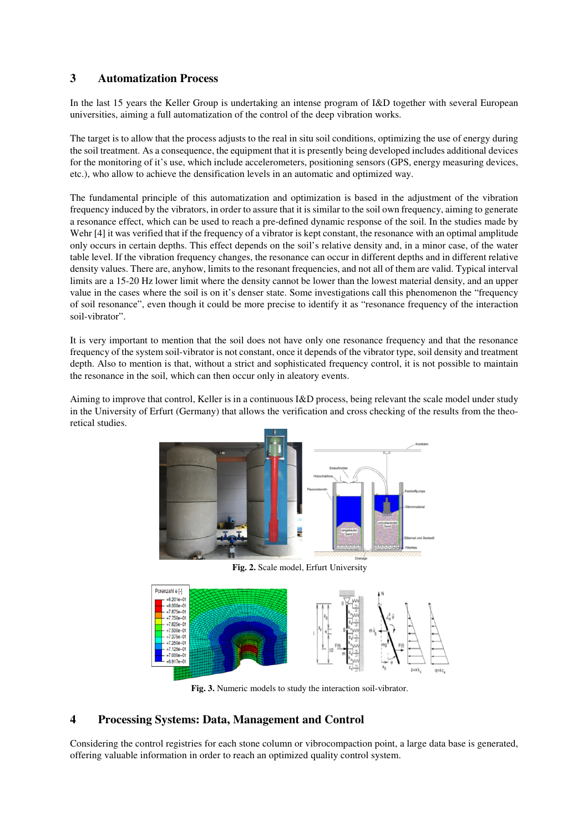# **3 Automatization Process**

In the last 15 years the Keller Group is undertaking an intense program of I&D together with several European universities, aiming a full automatization of the control of the deep vibration works.

The target is to allow that the process adjusts to the real in situ soil conditions, optimizing the use of energy during the soil treatment. As a consequence, the equipment that it is presently being developed includes additional devices for the monitoring of it's use, which include accelerometers, positioning sensors (GPS, energy measuring devices, etc.), who allow to achieve the densification levels in an automatic and optimized way.

The fundamental principle of this automatization and optimization is based in the adjustment of the vibration frequency induced by the vibrators, in order to assure that it is similar to the soil own frequency, aiming to generate a resonance effect, which can be used to reach a pre-defined dynamic response of the soil. In the studies made by Wehr [4] it was verified that if the frequency of a vibrator is kept constant, the resonance with an optimal amplitude only occurs in certain depths. This effect depends on the soil's relative density and, in a minor case, of the water table level. If the vibration frequency changes, the resonance can occur in different depths and in different relative density values. There are, anyhow, limits to the resonant frequencies, and not all of them are valid. Typical interval limits are a 15-20 Hz lower limit where the density cannot be lower than the lowest material density, and an upper value in the cases where the soil is on it's denser state. Some investigations call this phenomenon the "frequency of soil resonance", even though it could be more precise to identify it as "resonance frequency of the interaction soil-vibrator".

It is very important to mention that the soil does not have only one resonance frequency and that the resonance frequency of the system soil-vibrator is not constant, once it depends of the vibrator type, soil density and treatment depth. Also to mention is that, without a strict and sophisticated frequency control, it is not possible to maintain the resonance in the soil, which can then occur only in aleatory events.

Aiming to improve that control, Keller is in a continuous I&D process, being relevant the scale model under study in the University of Erfurt (Germany) that allows the verification and cross checking of the results from the theoretical studies.



**Fig. 2.** Scale model, Erfurt University



**Fig. 3.** Numeric models to study the interaction soil-vibrator.

# **4 Processing Systems: Data, Management and Control**

Considering the control registries for each stone column or vibrocompaction point, a large data base is generated, offering valuable information in order to reach an optimized quality control system.